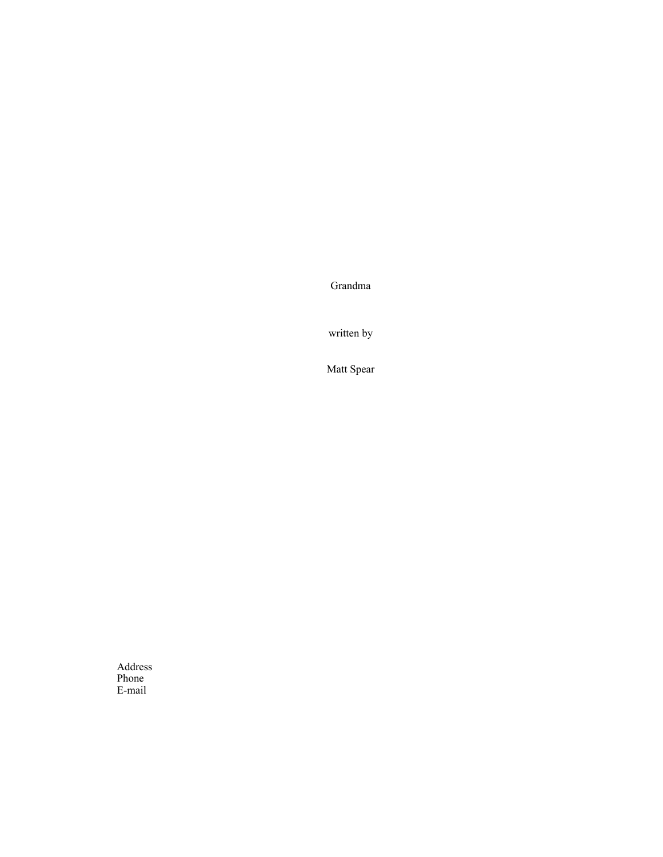Grandma

written by

Matt Spear

Address Phone E-mail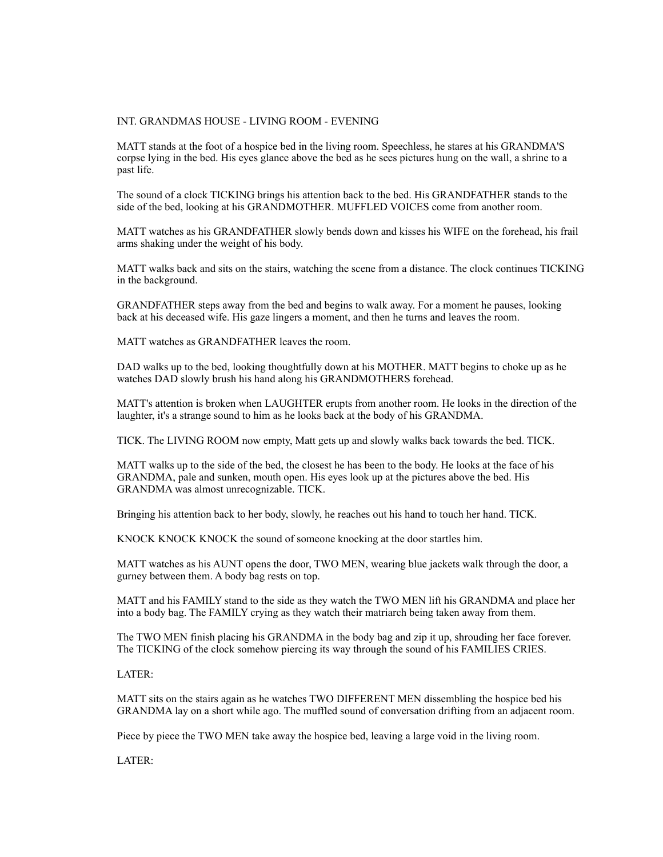## INT. GRANDMAS HOUSE - LIVING ROOM - EVENING

MATT stands at the foot of a hospice bed in the living room. Speechless, he stares at his GRANDMA'S corpse lying in the bed. His eyes glance above the bed as he sees pictures hung on the wall, a shrine to a past life.

The sound of a clock TICKING brings his attention back to the bed. His GRANDFATHER stands to the side of the bed, looking at his GRANDMOTHER. MUFFLED VOICES come from another room.

MATT watches as his GRANDFATHER slowly bends down and kisses his WIFE on the forehead, his frail arms shaking under the weight of his body.

MATT walks back and sits on the stairs, watching the scene from a distance. The clock continues TICKING in the background.

GRANDFATHER steps away from the bed and begins to walk away. For a moment he pauses, looking back at his deceased wife. His gaze lingers a moment, and then he turns and leaves the room.

MATT watches as GRANDFATHER leaves the room.

DAD walks up to the bed, looking thoughtfully down at his MOTHER. MATT begins to choke up as he watches DAD slowly brush his hand along his GRANDMOTHERS forehead.

MATT's attention is broken when LAUGHTER erupts from another room. He looks in the direction of the laughter, it's a strange sound to him as he looks back at the body of his GRANDMA.

TICK. The LIVING ROOM now empty, Matt gets up and slowly walks back towards the bed. TICK.

MATT walks up to the side of the bed, the closest he has been to the body. He looks at the face of his GRANDMA, pale and sunken, mouth open. His eyes look up at the pictures above the bed. His GRANDMA was almost unrecognizable. TICK.

Bringing his attention back to her body, slowly, he reaches out his hand to touch her hand. TICK.

KNOCK KNOCK KNOCK the sound of someone knocking at the door startles him.

MATT watches as his AUNT opens the door, TWO MEN, wearing blue jackets walk through the door, a gurney between them. A body bag rests on top.

MATT and his FAMILY stand to the side as they watch the TWO MEN lift his GRANDMA and place her into a body bag. The FAMILY crying as they watch their matriarch being taken away from them.

The TWO MEN finish placing his GRANDMA in the body bag and zip it up, shrouding her face forever. The TICKING of the clock somehow piercing its way through the sound of his FAMILIES CRIES.

LATER:

MATT sits on the stairs again as he watches TWO DIFFERENT MEN dissembling the hospice bed his GRANDMA lay on a short while ago. The muffled sound of conversation drifting from an adjacent room.

Piece by piece the TWO MEN take away the hospice bed, leaving a large void in the living room.

LATER: